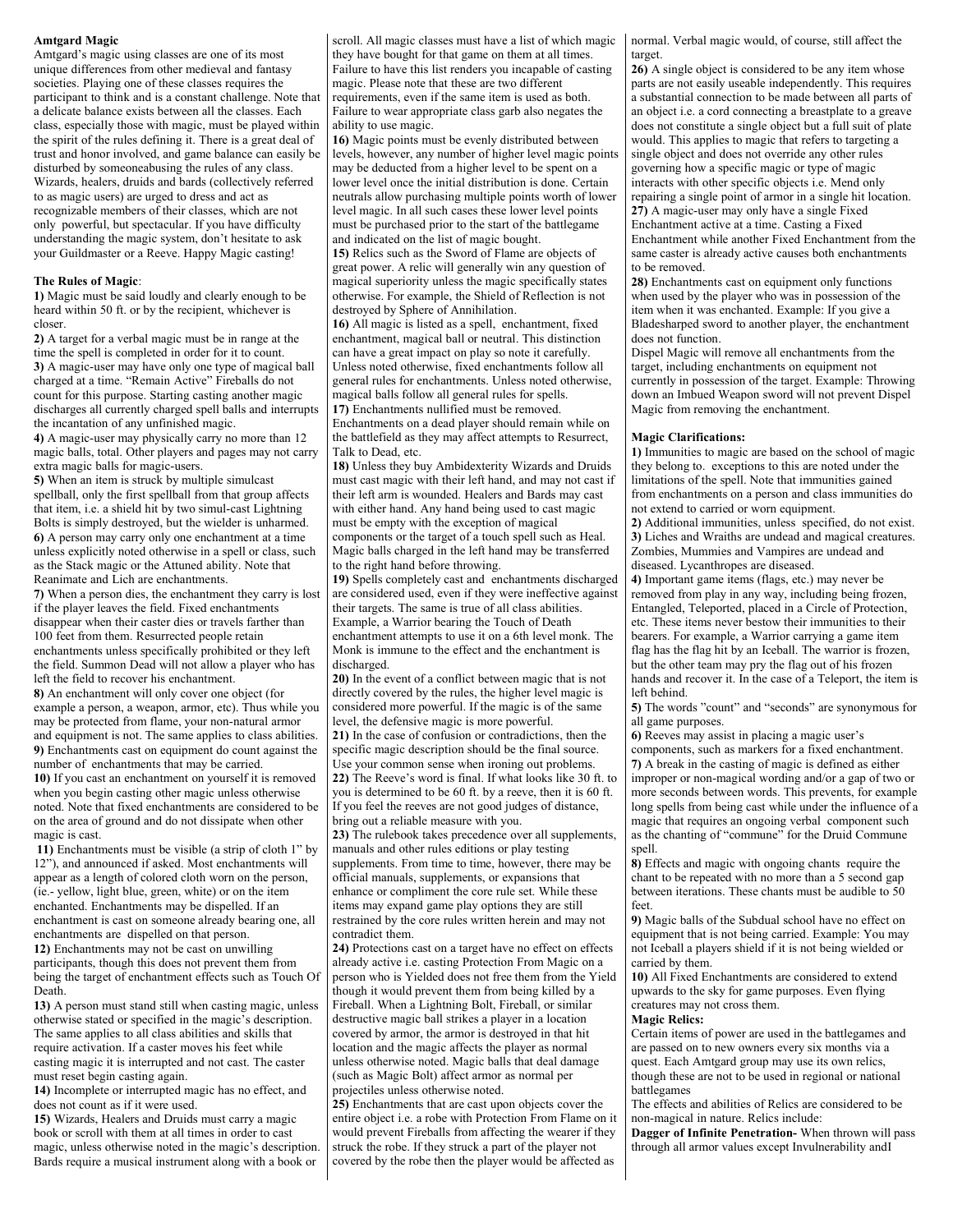#### **Amtgard Magic**

Amtgard's magic using classes are one of its most unique differences from other medieval and fantasy societies. Playing one of these classes requires the participant to think and is a constant challenge. Note that a delicate balance exists between all the classes. Each class, especially those with magic, must be played within the spirit of the rules defining it. There is a great deal of trust and honor involved, and game balance can easily be disturbed by someoneabusing the rules of any class. Wizards, healers, druids and bards (collectively referred to as magic users) are urged to dress and act as recognizable members of their classes, which are not only powerful, but spectacular. If you have difficulty understanding the magic system, don't hesitate to ask your Guildmaster or a Reeve. Happy Magic casting!

#### **The Rules of Magic**:

**1)** Magic must be said loudly and clearly enough to be heard within 50 ft. or by the recipient, whichever is closer.

**2)** A target for a verbal magic must be in range at the time the spell is completed in order for it to count. **3)** A magic-user may have only one type of magical ball charged at a time. "Remain Active" Fireballs do not count for this purpose. Starting casting another magic discharges all currently charged spell balls and interrupts the incantation of any unfinished magic.

**4)** A magic-user may physically carry no more than 12 magic balls, total. Other players and pages may not carry extra magic balls for magic-users.

**5)** When an item is struck by multiple simulcast spellball, only the first spellball from that group affects that item, i.e. a shield hit by two simul-cast Lightning Bolts is simply destroyed, but the wielder is unharmed. **6)** A person may carry only one enchantment at a time unless explicitly noted otherwise in a spell or class, such as the Stack magic or the Attuned ability. Note that Reanimate and Lich are enchantments.

**7)** When a person dies, the enchantment they carry is lost if the player leaves the field. Fixed enchantments disappear when their caster dies or travels farther than 100 feet from them. Resurrected people retain enchantments unless specifically prohibited or they left the field. Summon Dead will not allow a player who has left the field to recover his enchantment.

**8)** An enchantment will only cover one object (for example a person, a weapon, armor, etc). Thus while you may be protected from flame, your non-natural armor and equipment is not. The same applies to class abilities. **9)** Enchantments cast on equipment do count against the number of enchantments that may be carried. **10)** If you cast an enchantment on yourself it is removed when you begin casting other magic unless otherwise noted. Note that fixed enchantments are considered to be on the area of ground and do not dissipate when other

**11)** Enchantments must be visible (a strip of cloth 1" by 12"), and announced if asked. Most enchantments will appear as a length of colored cloth worn on the person, (ie.- yellow, light blue, green, white) or on the item enchanted. Enchantments may be dispelled. If an enchantment is cast on someone already bearing one, all enchantments are dispelled on that person.

magic is cast.

**12)** Enchantments may not be cast on unwilling participants, though this does not prevent them from being the target of enchantment effects such as Touch Of **Death** 

**13)** A person must stand still when casting magic, unless otherwise stated or specified in the magic's description. The same applies to all class abilities and skills that require activation. If a caster moves his feet while casting magic it is interrupted and not cast. The caster must reset begin casting again.

**14)** Incomplete or interrupted magic has no effect, and does not count as if it were used.

**15)** Wizards, Healers and Druids must carry a magic book or scroll with them at all times in order to cast magic, unless otherwise noted in the magic's description. Bards require a musical instrument along with a book or

scroll. All magic classes must have a list of which magic they have bought for that game on them at all times. Failure to have this list renders you incapable of casting magic. Please note that these are two different requirements, even if the same item is used as both. Failure to wear appropriate class garb also negates the ability to use magic.

**16)** Magic points must be evenly distributed between levels, however, any number of higher level magic points may be deducted from a higher level to be spent on a lower level once the initial distribution is done. Certain neutrals allow purchasing multiple points worth of lower level magic. In all such cases these lower level points must be purchased prior to the start of the battlegame and indicated on the list of magic bought.

**15)** Relics such as the Sword of Flame are objects of great power. A relic will generally win any question of magical superiority unless the magic specifically states otherwise. For example, the Shield of Reflection is not destroyed by Sphere of Annihilation.

**16)** All magic is listed as a spell, enchantment, fixed enchantment, magical ball or neutral. This distinction can have a great impact on play so note it carefully. Unless noted otherwise, fixed enchantments follow all general rules for enchantments. Unless noted otherwise, magical balls follow all general rules for spells. **17)** Enchantments nullified must be removed.

Enchantments on a dead player should remain while on the battlefield as they may affect attempts to Resurrect, Talk to Dead, etc.

**18)** Unless they buy Ambidexterity Wizards and Druids must cast magic with their left hand, and may not cast if their left arm is wounded. Healers and Bards may cast with either hand. Any hand being used to cast magic must be empty with the exception of magical components or the target of a touch spell such as Heal. Magic balls charged in the left hand may be transferred to the right hand before throwing.

**19)** Spells completely cast and enchantments discharged are considered used, even if they were ineffective against their targets. The same is true of all class abilities. Example, a Warrior bearing the Touch of Death enchantment attempts to use it on a 6th level monk. The Monk is immune to the effect and the enchantment is discharged.

**20)** In the event of a conflict between magic that is not directly covered by the rules, the higher level magic is considered more powerful. If the magic is of the same level, the defensive magic is more powerful.

**21)** In the case of confusion or contradictions, then the specific magic description should be the final source. Use your common sense when ironing out problems. **22)** The Reeve's word is final. If what looks like 30 ft. to you is determined to be 60 ft. by a reeve, then it is 60 ft. If you feel the reeves are not good judges of distance,

bring out a reliable measure with you. **23)** The rulebook takes precedence over all supplements, manuals and other rules editions or play testing supplements. From time to time, however, there may be official manuals, supplements, or expansions that enhance or compliment the core rule set. While these items may expand game play options they are still restrained by the core rules written herein and may not contradict them.

**24)** Protections cast on a target have no effect on effects already active i.e. casting Protection From Magic on a person who is Yielded does not free them from the Yield though it would prevent them from being killed by a Fireball. When a Lightning Bolt, Fireball, or similar destructive magic ball strikes a player in a location covered by armor, the armor is destroyed in that hit location and the magic affects the player as normal unless otherwise noted. Magic balls that deal damage (such as Magic Bolt) affect armor as normal per projectiles unless otherwise noted.

**25)** Enchantments that are cast upon objects cover the entire object i.e. a robe with Protection From Flame on it would prevent Fireballs from affecting the wearer if they struck the robe. If they struck a part of the player not covered by the robe then the player would be affected as

normal. Verbal magic would, of course, still affect the target.

**26)** A single object is considered to be any item whose parts are not easily useable independently. This requires a substantial connection to be made between all parts of an object i.e. a cord connecting a breastplate to a greave does not constitute a single object but a full suit of plate would. This applies to magic that refers to targeting a single object and does not override any other rules governing how a specific magic or type of magic interacts with other specific objects i.e. Mend only repairing a single point of armor in a single hit location. **27)** A magic-user may only have a single Fixed Enchantment active at a time. Casting a Fixed Enchantment while another Fixed Enchantment from the same caster is already active causes both enchantments to be removed.

**28)** Enchantments cast on equipment only functions when used by the player who was in possession of the item when it was enchanted. Example: If you give a Bladesharped sword to another player, the enchantment does not function.

Dispel Magic will remove all enchantments from the target, including enchantments on equipment not currently in possession of the target. Example: Throwing down an Imbued Weapon sword will not prevent Dispel Magic from removing the enchantment.

#### **Magic Clarifications:**

**1)** Immunities to magic are based on the school of magic they belong to. exceptions to this are noted under the limitations of the spell. Note that immunities gained from enchantments on a person and class immunities do not extend to carried or worn equipment.

**2)** Additional immunities, unless specified, do not exist. **3)** Liches and Wraiths are undead and magical creatures. Zombies, Mummies and Vampires are undead and diseased. Lycanthropes are diseased.

**4)** Important game items (flags, etc.) may never be removed from play in any way, including being frozen, Entangled, Teleported, placed in a Circle of Protection, etc. These items never bestow their immunities to their bearers. For example, a Warrior carrying a game item flag has the flag hit by an Iceball. The warrior is frozen, but the other team may pry the flag out of his frozen hands and recover it. In the case of a Teleport, the item is left behind.

**5)** The words "count" and "seconds" are synonymous for all game purposes.

**6)** Reeves may assist in placing a magic user's

components, such as markers for a fixed enchantment. **7)** A break in the casting of magic is defined as either improper or non-magical wording and/or a gap of two or more seconds between words. This prevents, for example long spells from being cast while under the influence of a magic that requires an ongoing verbal component such as the chanting of "commune" for the Druid Commune spell.

**8)** Effects and magic with ongoing chants require the chant to be repeated with no more than a 5 second gap between iterations. These chants must be audible to 50 feet.

**9)** Magic balls of the Subdual school have no effect on equipment that is not being carried. Example: You may not Iceball a players shield if it is not being wielded or carried by them.

**10)** All Fixed Enchantments are considered to extend upwards to the sky for game purposes. Even flying creatures may not cross them.

#### **Magic Relics:**

Certain items of power are used in the battlegames and are passed on to new owners every six months via a quest. Each Amtgard group may use its own relics, though these are not to be used in regional or national battlegames

The effects and abilities of Relics are considered to be non-magical in nature. Relics include:

**Dagger of Infinite Penetration-** When thrown will pass through all armor values except Invulnerability andI